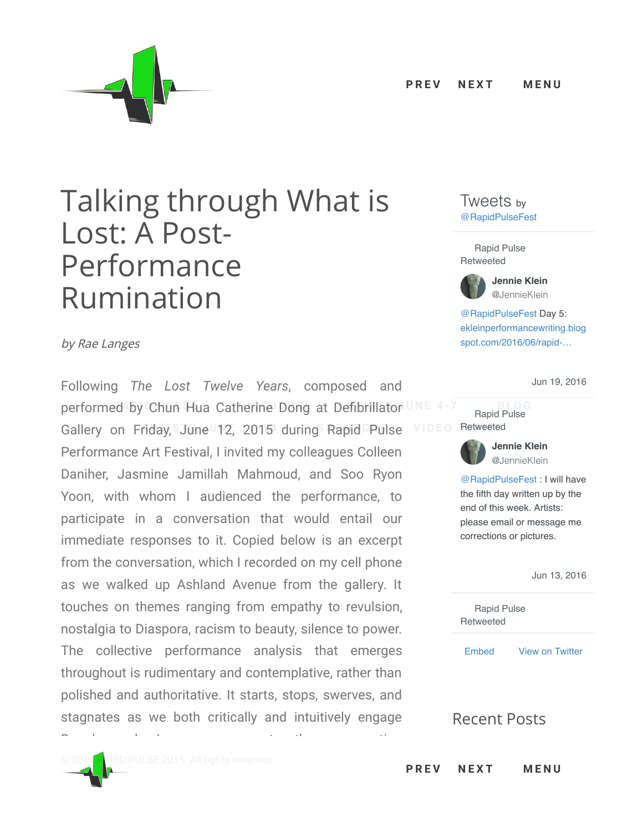

## Talking through What is Lost: A Post-Performance Rumination

by Rae Langes

Following *The Lost Twelve Years*, composed and **performed by Chun Hua Catherine Dong at Defibrillator** UNE 4-7 **[BLOG](http://2015.rapidpulse.org/blog)**  $Galley$  on Friday, June 12, 2015 during [Rapid](http://2015.rapidpulse.org/sponsors) Pulse [VIDEO](http://2015.rapidpulse.org/video-series) Retweeted Performance Art Festival, I invited my colleagues Colleen Daniher, Jasmine Jamillah Mahmoud, and Soo Ryon Yoon, with whom I audienced the performance, to participate in a conversation that would entail our immediate responses to it. Copied below is an excerpt from the conversation, which I recorded on my cell phone as we walked up Ashland Avenue from the gallery. It touches on themes ranging from empathy to revulsion, nostalgia to Diaspora, racism to beauty, silence to power. The collective performance analysis that emerges throughout is rudimentary and contemplative, rather than polished and authoritative. It starts, stops, swerves, and stagnates as we both critically and intuitively engage

Dong's work. In some moments, the conversation

## Tweets by [@RapidPulseFest](https://twitter.com/RapidPulseFest)

Rapid Pulse Retweeted



[@RapidPulseFest](https://twitter.com/RapidPulseFest) Day 5: [ekleinperformancewriting.blog](https://t.co/8jjDMyd6qD) spot.com/2016/06/rapid-…

[Jun 19, 2016](https://twitter.com/JennieKlein/status/744631138426191872)

Rapid Pulse **VIDEO** Retweeted



**Jennie Klein** [@JennieKlein](https://twitter.com/JennieKlein)

[@RapidPulseFest](https://twitter.com/RapidPulseFest) : I will have the fifth day written up by the end of this week. Artists: please email or message me corrections or pictures.

[Jun 13, 2016](https://twitter.com/JennieKlein/status/742402641351835648)

Rapid Pulse Retweeted

[Embed](https://publish.twitter.com/?url=https%3A%2F%2Ftwitter.com%2FRapidPulseFest) [View on Twitter](https://twitter.com/RapidPulseFest)

## Recent Posts

**NEXT P R E V N E X T M E N U**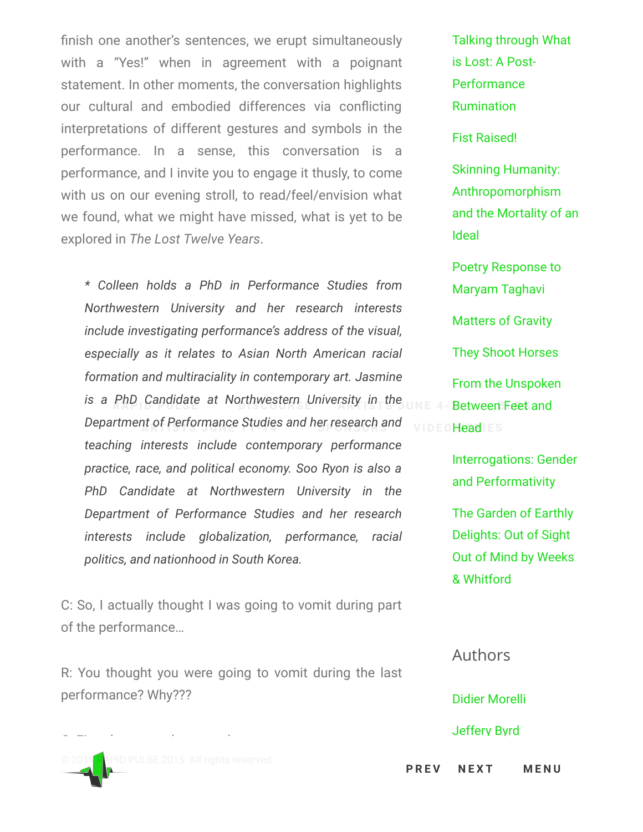finish one another's sentences, we erupt simultaneously with a "Yes!" when in agreement with a poignant statement. In other moments, the conversation highlights our cultural and embodied differences via conflicting interpretations of different gestures and symbols in the performance. In a sense, this conversation is a performance, and I invite you to engage it thusly, to come with us on our evening stroll, to read/feel/envision what we found, what we might have missed, what is yet to be explored in *The Lost Twelve Years*.

*\* Colleen holds a PhD in Performance Studies from Northwestern University and her research interests include investigating performance's address of the visual, especially as it relates to Asian North American racial formation and multiraciality in contemporary art. Jasmine* **R** is a PhD Candidate at N[orthwestern U](http://2015.rapidpulse.org/discourse)niversity in the  $_{\text{UNE}}$  4- Between Feet a Department of Performance Studies and h[er research an](http://2015.rapidpulse.org/sponsors)d wip EQHeadlES *teaching interests include contemporary performance practice, race, and political economy. Soo Ryon is also a PhD Candidate at Northwestern University in the Department of Performance Studies and her research interests include globalization, performance, racial politics, and nationhood in South Korea.*

C: So, I actually thought I was going to vomit during part of the performance…

R: You thought you were going to vomit during the last performance? Why???



[Talking through What](http://2015.rapidpulse.org/talking-through-what-is-lost-a-post-performance-rumination) is Lost: A Post-Performance Rumination [Fist Raised!](http://2015.rapidpulse.org/fist-raised)

Skinning Humanity: Anthropomorphism [and the Mortality of an](http://2015.rapidpulse.org/skinning-humanity-anthropomorphism-and-the-mortality-of-an-ideal) Ideal

[Poetry Response to](http://2015.rapidpulse.org/poetry-response-to-maryam-taghavi) Maryam Taghavi [Matters of Gravity](http://2015.rapidpulse.org/matters-of-gravity) [They Shoot Horses](http://2015.rapidpulse.org/they-shoot-horses) [From the Unspoken](http://2015.rapidpulse.org/from-the-unspoken-between-feet-and-head) Betwee[n Feet a](http://2015.rapidpulse.org/blog)nd VIDEOHeadIES

> [Interrogations: Gender](http://2015.rapidpulse.org/interrogations-gender-and-performativity) and Performativity

The Garden of Earthly Delights: Out of Sight [Out of Mind by Weeks](http://2015.rapidpulse.org/the-garden-of-earthly-delights-out-of-sight-out-of-mind-by-weeks-whitford) & Whitford

Authors [Didier Morelli](http://2015.rapidpulse.org/author/mdiddley) [Jeffery Byrd](http://2015.rapidpulse.org/author/jeffbyrd)

 $P$  **RE[V](http://2015.rapidpulse.org/reflections-of-ourselves) NEXT MENU**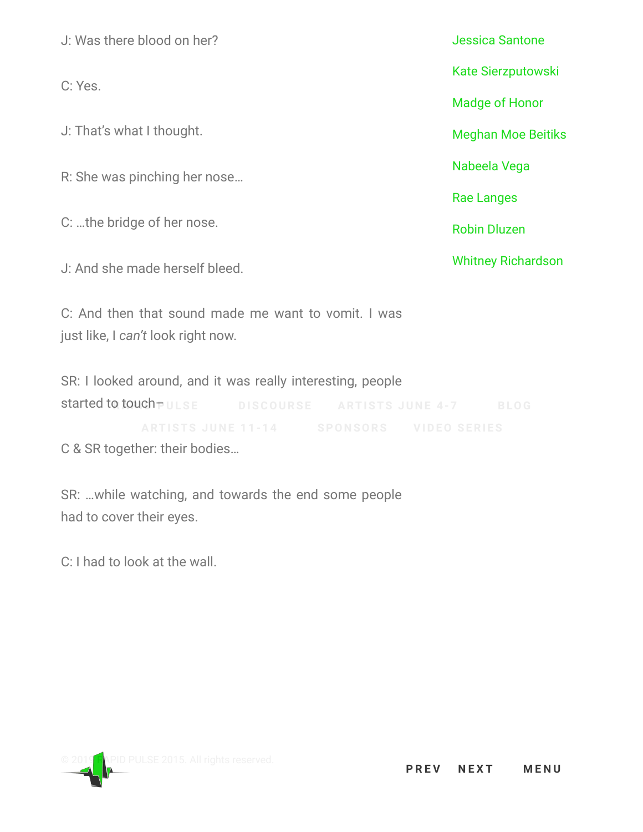J: Was there blood on her? C: Yes. J: That's what I thought. R: She was pinching her nose… C: …the bridge of her nose. J: And she made herself bleed. C: And then that sound made me want to vomit. I was just like, I *can't* look right now. [Jessica Santone](http://2015.rapidpulse.org/author/jesssandstone) [Kate Sierzputowski](http://2015.rapidpulse.org/author/ksierz) [Madge of Honor](http://2015.rapidpulse.org/author/madgehonor) [Meghan Moe Beitiks](http://2015.rapidpulse.org/author/memoe) [Nabeela Vega](http://2015.rapidpulse.org/author/nabvega) [Rae Langes](http://2015.rapidpulse.org/author/raelang) [Robin Dluzen](http://2015.rapidpulse.org/author/robdluzen) [Whitney Richardson](http://2015.rapidpulse.org/author/whitrich)

SR: I looked around, and it was really interesting, people started to touch  $\neg$  uLSE

C & SR together: their bodies…

SR: …while watching, and towards the end some people had to cover their eyes.

C: I had to look at the wall.

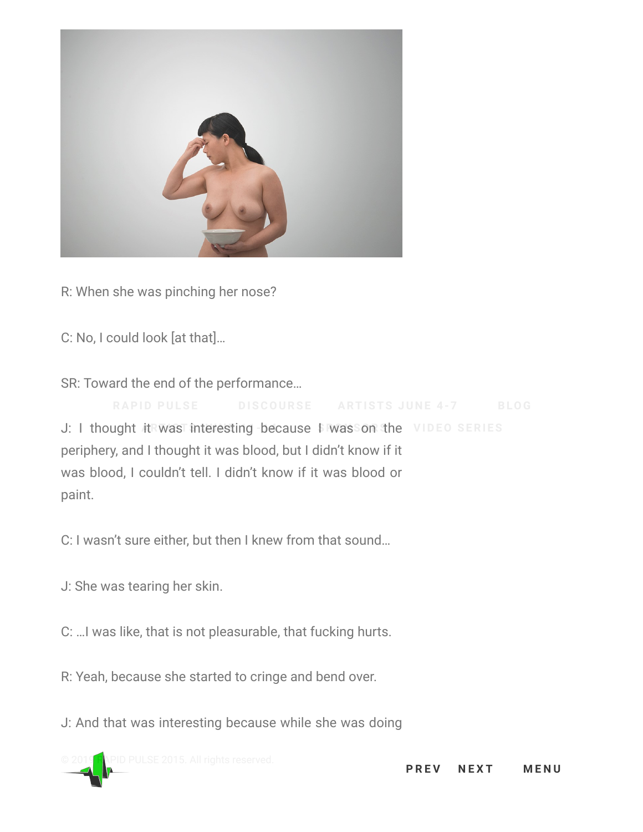

R: When she was pinching her nose?

C: No, I could look [at that]…

SR: Toward the end of the performance…

J: I thought it was interesting because I was on the **ARTISTS JU N E 1 1 - 1 4 SPO N [SORS](http://2015.rapidpulse.org/sponsors) [VIDEO](http://2015.rapidpulse.org/video-series) SERI ES** periphery, and I thought it was blood, but I didn't know if it was blood, I couldn't tell. I didn't know if it was blood or paint.

C: I wasn't sure either, but then I knew from that sound…

J: She was tearing her skin.

C: …I was like, that is not pleasurable, that fucking hurts.

R: Yeah, because she started to cringe and bend over.

J: And that was interesting because while she was doing

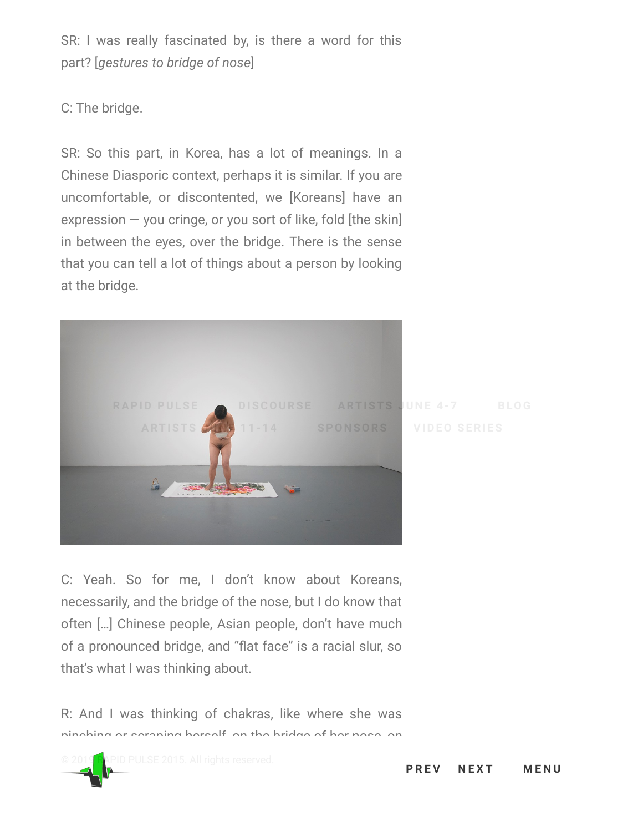SR: I was really fascinated by, is there a word for this part? [*gestures to bridge of nose*]

C: The bridge.

SR: So this part, in Korea, has a lot of meanings. In a Chinese Diasporic context, perhaps it is similar. If you are uncomfortable, or discontented, we [Koreans] have an expression  $-$  you cringe, or you sort of like, fold [the skin] in between the eyes, over the bridge. There is the sense that you can tell a lot of things about a person by looking at the bridge.



C: Yeah. So for me, I don't know about Koreans, necessarily, and the bridge of the nose, but I do know that often […] Chinese people, Asian people, don't have much of a pronounced bridge, and "flat face" is a racial slur, so that's what I was thinking about.

R: And I was thinking of chakras, like where she was pinching or scraping herself, on the bridge of her nose, on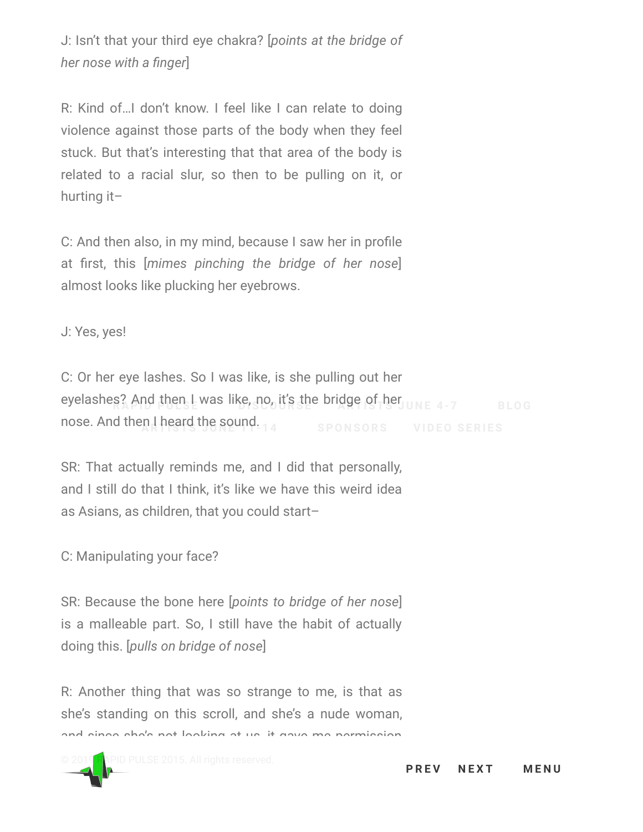J: Isn't that your third eye chakra? [*points at the bridge of her nose with a finger*]

R: Kind of…I don't know. I feel like I can relate to doing violence against those parts of the body when they feel stuck. But that's interesting that that area of the body is related to a racial slur, so then to be pulling on it, or hurting it–

C: And then also, in my mind, because I saw her in profile at first, this [*mimes pinching the bridge of her nose*] almost looks like plucking her eyebrows.

J: Yes, yes!

C: Or her eye lashes. So I was like, is she pulling out her eyelashes? And then I was like, no, it's the bridge of her **RAPID PULSE [DISCOURSE](http://2015.rapidpulse.org/discourse) ARTISTS JU N E 4 - 7 [BLOG](http://2015.rapidpulse.org/blog)** nose. And then I heard the sound.

SR: That actually reminds me, and I did that personally, and I still do that I think, it's like we have this weird idea as Asians, as children, that you could start–

C: Manipulating your face?

SR: Because the bone here [*points to bridge of her nose*] is a malleable part. So, I still have the habit of actually doing this. [*pulls on bridge of nose*]

R: Another thing that was so strange to me, is that as she's standing on this scroll, and she's a nude woman, and since she's not looking at us, it gave me permission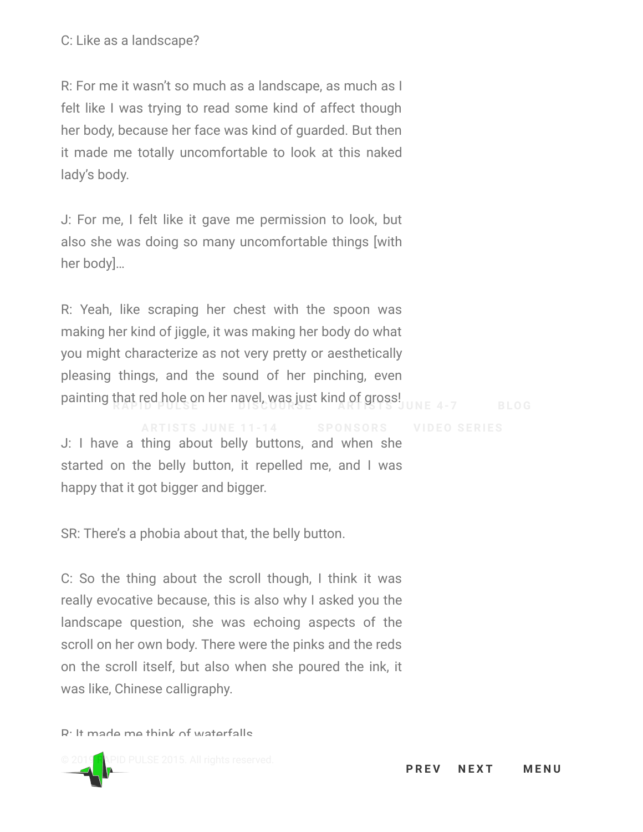R: For me it wasn't so much as a landscape, as much as I felt like I was trying to read some kind of affect though her body, because her face was kind of guarded. But then it made me totally uncomfortable to look at this naked lady's body.

J: For me, I felt like it gave me permission to look, but also she was doing so many uncomfortable things [with her body]…

R: Yeah, like scraping her chest with the spoon was making her kind of jiggle, it was making her body do what you might characterize as not very pretty or aesthetically pleasing things, and the sound of her pinching, even **Painting that red hole on her navel, was just kind of gross! UNE 4-7 <b>[BLOG](http://2015.rapidpulse.org/blog)** 

J: I have a thing about belly buttons, and when she started on the belly button, it repelled me, and I was happy that it got bigger and bigger.

SR: There's a phobia about that, the belly button.

C: So the thing about the scroll though, I think it was really evocative because, this is also why I asked you the landscape question, she was echoing aspects of the scroll on her own body. There were the pinks and the reds on the scroll itself, but also when she poured the ink, it was like, Chinese calligraphy.

R: It made me think of waterfalls.

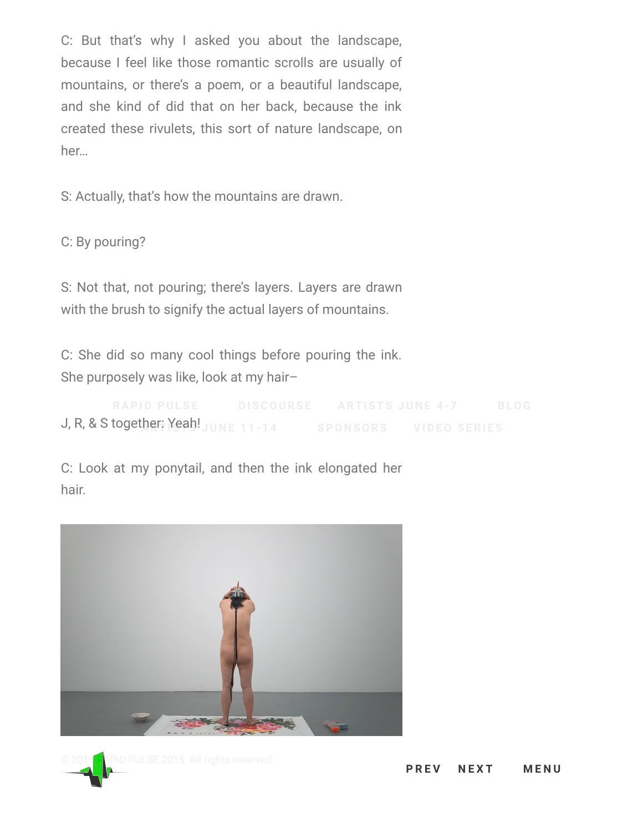C: But that's why I asked you about the landscape, because I feel like those romantic scrolls are usually of mountains, or there's a poem, or a beautiful landscape, and she kind of did that on her back, because the ink created these rivulets, this sort of nature landscape, on her…

S: Actually, that's how the mountains are drawn.

C: By pouring?

S: Not that, not pouring; there's layers. Layers are drawn with the brush to signify the actual layers of mountains.

C: She did so many cool things before pouring the ink. She purposely was like, look at my hair–

J, R, & S together: Yeah! **ARTISTS JU N E 1 1 - 1 4 SPO N [SORS](http://2015.rapidpulse.org/sponsors) [VIDEO](http://2015.rapidpulse.org/video-series) SERI ES**

C: Look at my ponytail, and then the ink elongated her hair.



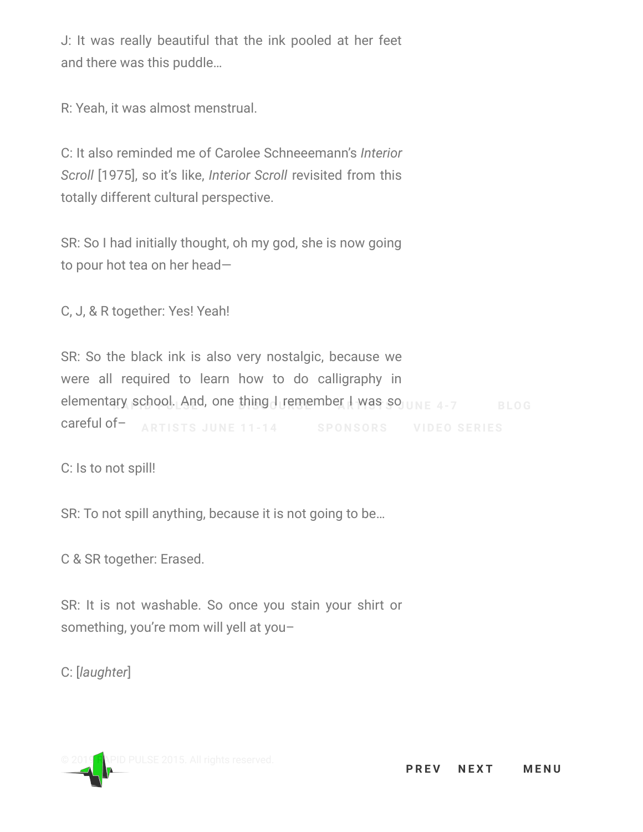J: It was really beautiful that the ink pooled at her feet and there was this puddle…

R: Yeah, it was almost menstrual.

C: It also reminded me of Carolee Schneeemann's *Interior Scroll* [1975], so it's like, *Interior Scroll* revisited from this totally different cultural perspective.

SR: So I had initially thought, oh my god, she is now going to pour hot tea on her head—

C, J, & R together: Yes! Yeah!

SR: So the black ink is also very nostalgic, because we were all required to learn how to do calligraphy in elementary school. And, one thing I remember I was so **RAPID PULSE [DISCOURSE](http://2015.rapidpulse.org/discourse) ARTISTS JU N E 4 - 7 [BLOG](http://2015.rapidpulse.org/blog)** careful of–

C: Is to not spill!

SR: To not spill anything, because it is not going to be…

C & SR together: Erased.

SR: It is not washable. So once you stain your shirt or something, you're mom will yell at you–

C: [*laughter*]

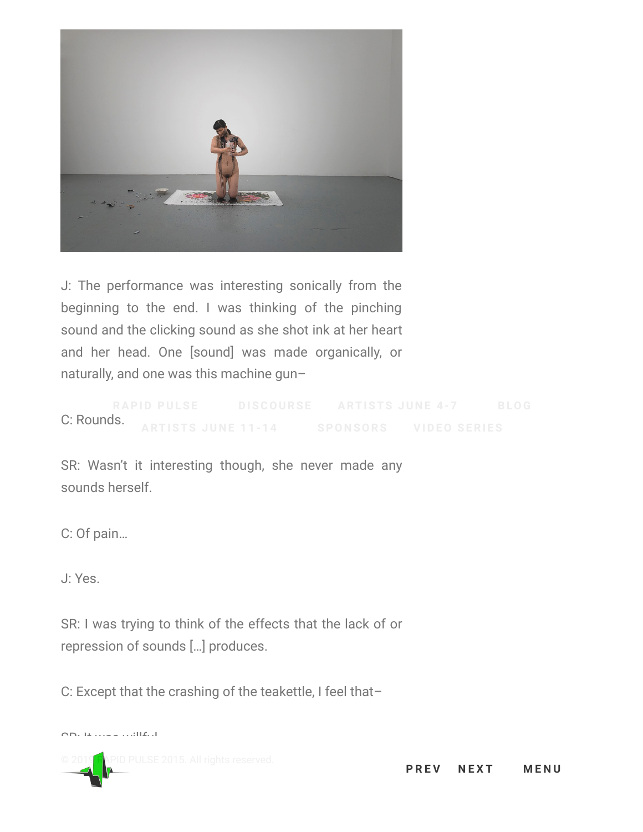

J: The performance was interesting sonically from the beginning to the end. I was thinking of the pinching sound and the clicking sound as she shot ink at her heart and her head. One [sound] was made organically, or naturally, and one was this machine gun–

C: Rounds.

SR: Wasn't it interesting though, she never made any sounds herself.

C: Of pain…

J: Yes.

SR: I was trying to think of the effects that the lack of or repression of sounds […] produces.

C: Except that the crashing of the teakettle, I feel that–

SR: It was willful.